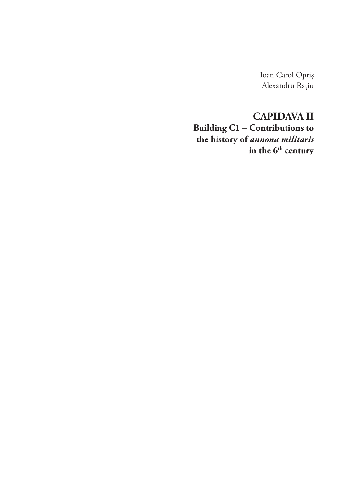Ioan Carol Opriș Alexandru Rațiu

**CAPIDAVA II Building C1 – Contributions to the history of** *annona militaris*  in the 6<sup>th</sup> century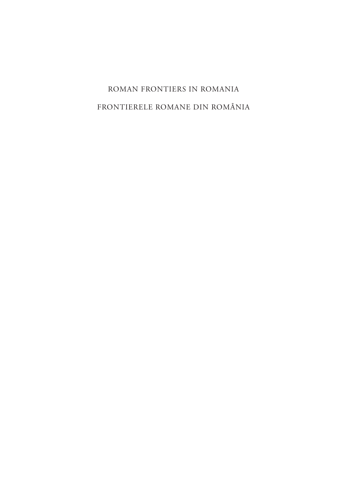# ROMAN FRONTIERS IN ROMANIA FRONTIERELE ROMANE DIN ROMÂNIA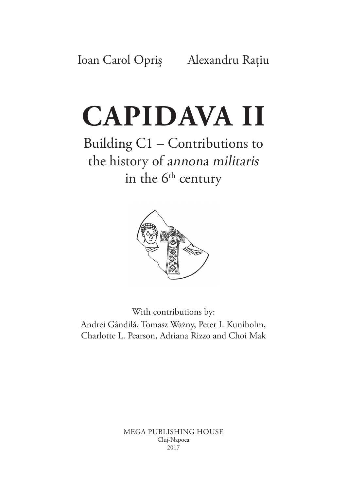# **CAPIDAVA II**

Building C1 – Contributions to the history of annona militaris in the  $6<sup>th</sup>$  century



With contributions by: Andrei Gândilă, Tomasz Ważny, Peter I. Kuniholm, Charlotte L. Pearson, Adriana Rizzo and Choi Mak

> MEGA PUBLISHING HOUSE Cluj‑Napoca 2017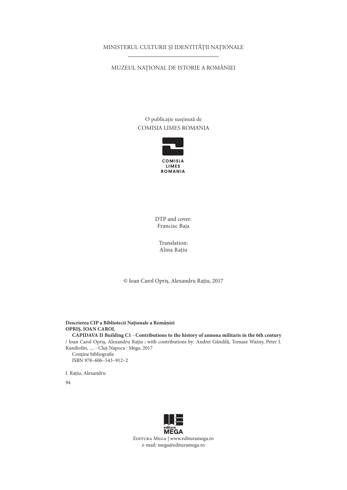#### MINISTERUL CULTURII ȘI IDENTITĂȚII NAȚIONALE

#### MUZEUL NAȚIONAL DE ISTORIE A ROMÂNIEI

O publicație susținută de COMISIA LIMES ROMANIA



DTP and cover: Francisc Baja

Translation: Alina Rațiu

© Ioan Carol Opriș, Alexandru Rațiu, 2017

**Descrierea CIP a Bibliotecii Naţionale a României OPRIŞ, IOAN CAROL CAPIDAVA II Building C1 - Contributions to the history of annona militaris in the 6th century** / Ioan Carol Opriş, Alexandru Raţiu ; with contributions by: Andrei Gândilă, Tomasz Ważny, Peter I. Kuniholm, .... - Cluj-Napoca : Mega, 2017 Conține bibliografie ISBN 978–606–543–912–2

I. Raţiu, Alexandru

94

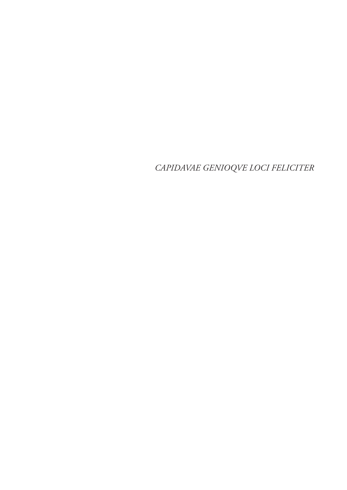CAPIDAVAE GENIOQVE LOCI FELICITER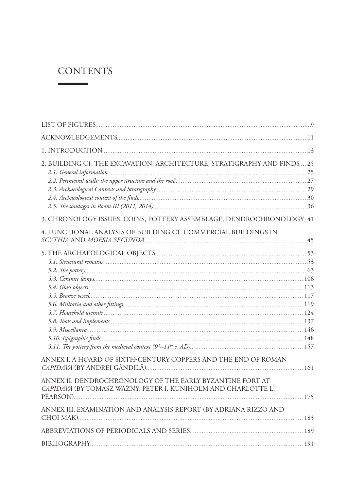## **CONTENTS**

 $\mathcal{L}^{\text{max}}(\mathcal{L}^{\text{max}})$  . The set of  $\mathcal{L}^{\text{max}}$ 

| 2. BUILDING C1. THE EXCAVATION: ARCHITECTURE, STRATIGRAPHY AND FINDS25                                                     |  |
|----------------------------------------------------------------------------------------------------------------------------|--|
| 3. CHRONOLOGY ISSUES. COINS, POTTERY ASSEMBLAGE, DENDROCHRONOLOGY 41                                                       |  |
| 4. FUNCTIONAL ANALYSIS OF BUILDING C1. COMMERCIAL BUILDINGS IN                                                             |  |
|                                                                                                                            |  |
| ANNEX I. A HOARD OF SIXTH-CENTURY COPPERS AND THE END OF ROMAN                                                             |  |
| ANNEX II. DENDROCHRONOLOGY OF THE EARLY BYZANTINE FORT AT<br>CAPIDAVA (BY TOMASZ WAŻNY, PETER I. KUNIHOLM AND CHARLOTTE L. |  |
| ANNEX III. EXAMINATION AND ANALYSIS REPORT (BY ADRIANA RIZZO AND                                                           |  |
|                                                                                                                            |  |
|                                                                                                                            |  |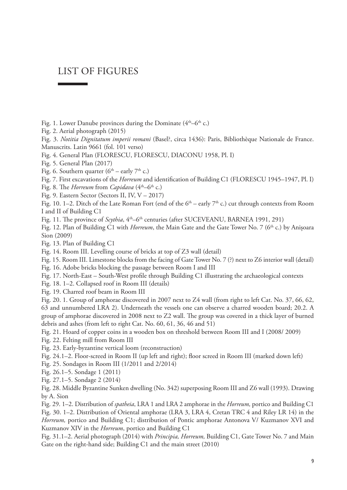## LIST OF FIGURES

- Fig. 1. Lower Danube provinces during the Dominate  $(4<sup>th</sup>-6<sup>th</sup> c.)$
- Fig. 2. Aerial photograph (2015)

Fig. 3. *Notitia Dignitatum imperii romani* (Basel?, circa 1436): Paris, Bibliothèque Nationale de France. Manuscrits. Latin 9661 (fol. 101 verso)

- Fig. 4. General Plan (FLORESCU, FLORESCU, DIACONU 1958, Pl. I)
- Fig. 5. General Plan (2017)
- Fig. 6. Southern quarter ( $6<sup>th</sup>$  early  $7<sup>th</sup>$  c.)
- Fig. 7. First excavations of the *Horreum* and identification of Building C1 (FLORESCU 1945–1947, Pl. I)
- Fig. 8. The *Horreum* from *Capidava* (4<sup>th</sup>–6<sup>th</sup> c.)
- Fig. 9. Eastern Sector (Sectors II, IV, V 2017)

Fig. 10. 1–2. Ditch of the Late Roman Fort (end of the  $6<sup>th</sup>$  – early  $7<sup>th</sup>$  c.) cut through contexts from Room I and II of Building C1

Fig. 11. The province of *Scythia*, 4<sup>th</sup>–6<sup>th</sup> centuries (after SUCEVEANU, BARNEA 1991, 291)

Fig. 12. Plan of Building C1 with *Horreum*, the Main Gate and the Gate Tower No. 7 (6<sup>th</sup> c.) by Anișoara Sion (2009)

Fig. 13. Plan of Building C1

Fig. 14. Room III. Levelling course of bricks at top of Z3 wall (detail)

Fig. 15. Room III. Limestone blocks from the facing of Gate Tower No. 7 (?) next to Z6 interior wall (detail)

- Fig. 16. Adobe bricks blocking the passage between Room I and III
- Fig. 17. North-East South-West profile through Building C1 illustrating the archaeological contexts
- Fig. 18. 1–2. Collapsed roof in Room III (details)
- Fig. 19. Charred roof beam in Room III

Fig. 20. 1. Group of amphorae discovered in 2007 next to Z4 wall (from right to left Cat. No. 37, 66, 62, 63 and unnumbered LRA 2). Underneath the vessels one can observe a charred wooden board; 20.2. A group of amphorae discovered in 2008 next to Z2 wall. The group was covered in a thick layer of burned debris and ashes (from left to right Cat. No. 60, 61, 36, 46 and 51)

Fig. 21. Hoard of copper coins in a wooden box on threshold between Room III and I (2008/ 2009)

- Fig. 22. Felting mill from Room III
- Fig. 23. Early-byzantine vertical loom (reconstruction)
- Fig. 24.1–2. Floor-screed in Room II (up left and right); floor screed in Room III (marked down left)
- Fig. 25. Sondages in Room III (1/2011 and 2/2014)
- Fig. 26.1–5. Sondage 1 (2011)
- Fig. 27.1–5. Sondage 2 (2014)

Fig. 28. Middle Byzantine Sunken dwelling (No. 342) superposing Room III and Z6 wall (1993). Drawing by A. Sion

Fig. 29. 1–2. Distribution of *spatheia*, LRA 1 and LRA 2 amphorae in the *Horreum,* portico and Building C1 Fig. 30. 1–2. Distribution of Oriental amphorae (LRA 3, LRA 4, Cretan TRC 4 and Riley LR 14) in the *Horreum,* portico and Building C1; distribution of Pontic amphorae Antonova V/ Kuzmanov XVI and Kuzmanov XIV in the *Horreum*, portico and Building C1

Fig. 31.1–2. Aerial photograph (2014) with *Principia, Horreum,* Building C1, Gate Tower No. 7 and Main Gate on the right-hand side; Building C1 and the main street (2010)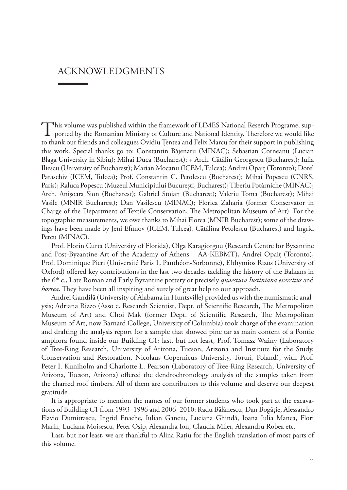### ACKNOWLEDGMENTS

This volume was published within the framework of LIMES National Reserch Programe, supported by the Romanian Ministry of Culture and National Identity. Therefore we would like to thank our friends and colleagues Ovidiu Țentea and Felix Marcu for their support in publishing this work. Special thanks go to: Constantin Băjenaru (MINAC); Sebastian Corneanu (Lucian Blaga University in Sibiu); Mihai Duca (Bucharest); + Arch. Cătălin Georgescu (Bucharest); Iulia Iliescu (University of Bucharest); Marian Mocanu (ICEM, Tulcea); Andrei Opaiț (Toronto); Dorel Paraschiv (ICEM, Tulcea); Prof. Constantin C. Petolescu (Bucharest); Mihai Popescu (CNRS, Paris); Raluca Popescu (Muzeul Municipiului București, Bucharest); Tiberiu Potârniche (MINAC); Arch. Anișoara Sion (Bucharest); Gabriel Stoian (Bucharest); Valeriu Toma (Bucharest); Mihai Vasile (MNIR Bucharest); Dan Vasilescu (MINAC); Florica Zaharia (former Conservator in Charge of the Department of Textile Conservation, The Metropolitan Museum of Art). For the topographic measurements, we owe thanks to Mihai Florea (MNIR Bucharest); some of the draw‑ ings have been made by Jeni Efimov (ICEM, Tulcea), Cătălina Petolescu (Bucharest) and Ingrid Petcu (MINAC).

Prof. Florin Curta (University of Florida), Olga Karagiorgou (Research Centre for Byzantine and Post-Byzantine Art of the Academy of Athens – AA-KEBMT), Andrei Opaiț (Toronto), Prof. Dominique Pieri (Université Paris 1, Panthéon-Sorbonne), Efthymios Rizos (University of Oxford) offered key contributions in the last two decades tackling the history of the Balkans in the 6th c., Late Roman and Early Byzantine pottery or precisely *quaestura Iustiniana exercitus* and *horrea*. They have been all inspiring and surely of great help to our approach.

Andrei Gandilă (University of Alabama in Huntsville) provided us with the numismatic anal‑ ysis; Adriana Rizzo (Asso c. Research Scientist, Dept. of Scientific Research, The Metropolitan Museum of Art) and Choi Mak (former Dept. of Scientific Research, The Metropolitan Museum of Art, now Barnard College, University of Columbia) took charge of the examination and drafting the analysis report for a sample that showed pine tar as main content of a Pontic amphora found inside our Building C1; last, but not least, Prof. Tomasz Ważny (Laboratory of Tree-Ring Research, University of Arizona, Tucson, Arizona and Institute for the Study, Conservation and Restoration, Nicolaus Copernicus University, Toruń, Poland), with Prof. Peter I. Kuniholm and Charlotte L. Pearson (Laboratory of Tree-Ring Research, University of Arizona, Tucson, Arizona) offered the dendrochronology analysis of the samples taken from the charred roof timbers. All of them are contributors to this volume and deserve our deepest gratitude.

It is appropriate to mention the names of our former students who took part at the excavations of Building C1 from 1993–1996 and 2006–2010: Radu Bălănescu, Dan Bogăție, Alessandro Flavio Dumitrașcu, Ingrid Enache, Iulian Ganciu, Luciana Ghindă, Ioana Iulia Manea, Flori Marin, Luciana Moisescu, Peter Osip, Alexandra Ion, Claudia Miler, Alexandru Robea etc.

Last, but not least, we are thankful to Alina Rațiu for the English translation of most parts of this volume.